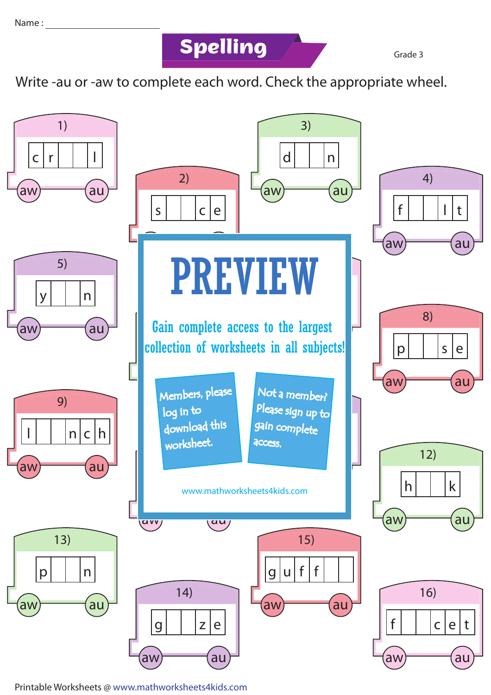**Spelling Grade 3** 

Write -au or -aw to complete each word. Check the appropriate wheel.



Printable Worksheets @ www.mathworksheets4kids.com